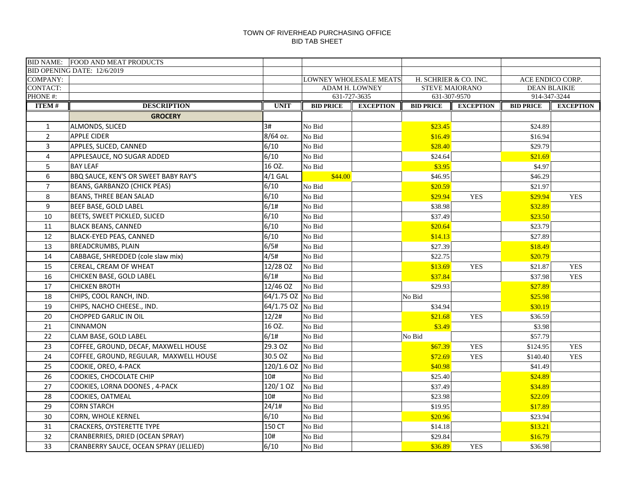|                            | <b>BID NAME: FOOD AND MEAT PRODUCTS</b> |                   |                  |                                |                                       |                       |                                     |                  |
|----------------------------|-----------------------------------------|-------------------|------------------|--------------------------------|---------------------------------------|-----------------------|-------------------------------------|------------------|
|                            | BID OPENING DATE: 12/6/2019             |                   |                  |                                |                                       |                       |                                     |                  |
| <b>COMPANY:</b>            |                                         |                   |                  | LOWNEY WHOLESALE MEATS         |                                       | H. SCHRIER & CO. INC. |                                     | ACE ENDICO CORP. |
| <b>CONTACT:</b><br>PHONE#: |                                         |                   |                  | ADAM H. LOWNEY<br>631-727-3635 | <b>STEVE MAIORANO</b><br>631-307-9570 |                       | <b>DEAN BLAIKIE</b><br>914-347-3244 |                  |
|                            | <b>DESCRIPTION</b>                      | <b>UNIT</b>       |                  | <b>EXCEPTION</b>               |                                       | <b>EXCEPTION</b>      |                                     |                  |
| <b>ITEM#</b>               |                                         |                   | <b>BID PRICE</b> |                                | <b>BID PRICE</b>                      |                       | <b>BID PRICE</b>                    | <b>EXCEPTION</b> |
|                            | <b>GROCERY</b>                          |                   |                  |                                |                                       |                       |                                     |                  |
| $\mathbf{1}$               | ALMONDS, SLICED                         | 3#                | No Bid           |                                | \$23.45                               |                       | \$24.89                             |                  |
| $\overline{2}$             | <b>APPLE CIDER</b>                      | 8/64 oz.          | No Bid           |                                | \$16.49                               |                       | \$16.94                             |                  |
| $\overline{3}$             | APPLES, SLICED, CANNED                  | 6/10              | No Bid           |                                | \$28.40                               |                       | \$29.79                             |                  |
| $\overline{4}$             | APPLESAUCE, NO SUGAR ADDED              | 6/10              | No Bid           |                                | \$24.64                               |                       | \$21.69                             |                  |
| 5                          | <b>BAY LEAF</b>                         | 16 OZ.            | No Bid           |                                | \$3.95                                |                       | \$4.97                              |                  |
| 6                          | BBQ SAUCE, KEN'S OR SWEET BABY RAY'S    | $4/1$ GAL         | \$44.00          |                                | \$46.95                               |                       | \$46.29                             |                  |
| $\overline{7}$             | BEANS, GARBANZO (CHICK PEAS)            | 6/10              | No Bid           |                                | \$20.59                               |                       | \$21.97                             |                  |
| 8                          | <b>BEANS, THREE BEAN SALAD</b>          | 6/10              | No Bid           |                                | \$29.94                               | <b>YES</b>            | \$29.94                             | <b>YES</b>       |
| 9                          | BEEF BASE, GOLD LABEL                   | 6/1#              | No Bid           |                                | \$38.98                               |                       | \$32.89                             |                  |
| 10                         | BEETS, SWEET PICKLED, SLICED            | 6/10              | No Bid           |                                | \$37.49                               |                       | \$23.50                             |                  |
| 11                         | <b>BLACK BEANS, CANNED</b>              | 6/10              | No Bid           |                                | \$20.64                               |                       | \$23.79                             |                  |
| 12                         | BLACK-EYED PEAS, CANNED                 | 6/10              | No Bid           |                                | \$14.13                               |                       | \$27.89                             |                  |
| 13                         | BREADCRUMBS, PLAIN                      | 6/5#              | No Bid           |                                | \$27.39                               |                       | \$18.49                             |                  |
| 14                         | CABBAGE, SHREDDED (cole slaw mix)       | 4/5#              | No Bid           |                                | \$22.75                               |                       | \$20.79                             |                  |
| 15                         | CEREAL, CREAM OF WHEAT                  | 12/28 OZ          | No Bid           |                                | \$13.69                               | <b>YES</b>            | \$21.87                             | <b>YES</b>       |
| 16                         | CHICKEN BASE, GOLD LABEL                | 6/1#              | No Bid           |                                | \$37.84                               |                       | \$37.98                             | <b>YES</b>       |
| 17                         | <b>CHICKEN BROTH</b>                    | 12/46 OZ          | No Bid           |                                | \$29.93                               |                       | \$27.89                             |                  |
| 18                         | CHIPS, COOL RANCH, IND.                 | 64/1.75 OZ No Bid |                  |                                | No Bid                                |                       | \$25.98                             |                  |
| 19                         | CHIPS, NACHO CHEESE., IND.              | 64/1.75 OZ No Bid |                  |                                | \$34.94                               |                       | \$30.19                             |                  |
| 20                         | CHOPPED GARLIC IN OIL                   | 12/2#             | No Bid           |                                | \$21.68                               | <b>YES</b>            | \$36.59                             |                  |
| 21                         | <b>CINNAMON</b>                         | 16 OZ.            | No Bid           |                                | \$3.49                                |                       | \$3.98                              |                  |
| 22                         | CLAM BASE, GOLD LABEL                   | 6/1#              | No Bid           |                                | No Bid                                |                       | \$57.79                             |                  |
| 23                         | COFFEE, GROUND, DECAF, MAXWELL HOUSE    | 29.3 OZ           | No Bid           |                                | \$67.39                               | <b>YES</b>            | \$124.95                            | <b>YES</b>       |
| 24                         | COFFEE, GROUND, REGULAR, MAXWELL HOUSE  | 30.5 OZ           | No Bid           |                                | \$72.69                               | <b>YES</b>            | \$140.40                            | <b>YES</b>       |
| 25                         | COOKIE, OREO, 4-PACK                    | 120/1.6 OZ        | No Bid           |                                | \$40.98                               |                       | \$41.49                             |                  |
| 26                         | COOKIES, CHOCOLATE CHIP                 | 10#               | No Bid           |                                | \$25.40                               |                       | \$24.89                             |                  |
| 27                         | COOKIES, LORNA DOONES, 4-PACK           | 120/10Z           | No Bid           |                                | \$37.49                               |                       | \$34.89                             |                  |
| 28                         | COOKIES, OATMEAL                        | 10#               | No Bid           |                                | \$23.98                               |                       | \$22.09                             |                  |
| 29                         | <b>CORN STARCH</b>                      | 24/1#             | No Bid           |                                | \$19.95                               |                       | \$17.89                             |                  |
| 30                         | CORN, WHOLE KERNEL                      | 6/10              | No Bid           |                                | \$20.96                               |                       | \$23.94                             |                  |
| 31                         | <b>CRACKERS, OYSTERETTE TYPE</b>        | 150 CT            | No Bid           |                                | \$14.18                               |                       | \$13.21                             |                  |
| 32                         | CRANBERRIES, DRIED (OCEAN SPRAY)        | 10#               | No Bid           |                                | \$29.84                               |                       | \$16.79                             |                  |
| 33                         | CRANBERRY SAUCE, OCEAN SPRAY (JELLIED)  | 6/10              | No Bid           |                                | \$36.89                               | <b>YES</b>            | \$36.98                             |                  |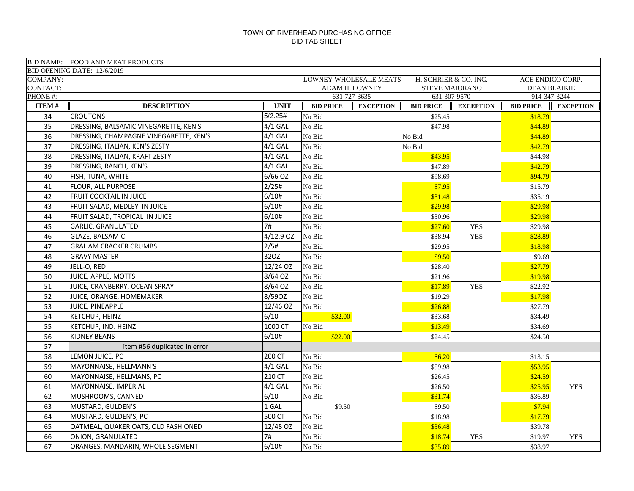|                 | <b>BID NAME: FOOD AND MEAT PRODUCTS</b> |             |                  |                        |                       |                  |                                     |                  |
|-----------------|-----------------------------------------|-------------|------------------|------------------------|-----------------------|------------------|-------------------------------------|------------------|
|                 | BID OPENING DATE: 12/6/2019             |             |                  |                        |                       |                  |                                     |                  |
| <b>COMPANY:</b> |                                         |             |                  | LOWNEY WHOLESALE MEATS | H. SCHRIER & CO. INC. |                  | ACE ENDICO CORP.                    |                  |
| <b>CONTACT:</b> |                                         |             |                  | ADAM H. LOWNEY         | STEVE MAIORANO        |                  | <b>DEAN BLAIKIE</b><br>914-347-3244 |                  |
| PHONE#:         |                                         | <b>UNIT</b> | <b>BID PRICE</b> | 631-727-3635           | 631-307-9570          | <b>EXCEPTION</b> |                                     |                  |
| <b>ITEM#</b>    | <b>DESCRIPTION</b>                      |             |                  | <b>EXCEPTION</b>       | <b>BID PRICE</b>      |                  | <b>BID PRICE</b>                    | <b>EXCEPTION</b> |
| 34              | <b>CROUTONS</b>                         | 5/2.25#     | No Bid           |                        | \$25.45               |                  | \$18.79                             |                  |
| 35              | DRESSING, BALSAMIC VINEGARETTE, KEN'S   | $4/1$ GAL   | No Bid           |                        | \$47.98               |                  | \$44.89                             |                  |
| 36              | DRESSING, CHAMPAGNE VINEGARETTE, KEN'S  | $4/1$ GAL   | No Bid           |                        | No Bid                |                  | \$44.89                             |                  |
| 37              | DRESSING, ITALIAN, KEN'S ZESTY          | $4/1$ GAL   | No Bid           |                        | No Bid                |                  | \$42.79                             |                  |
| 38              | DRESSING, ITALIAN, KRAFT ZESTY          | $4/1$ GAL   | No Bid           |                        | \$43.95               |                  | \$44.98                             |                  |
| 39              | DRESSING, RANCH, KEN'S                  | $4/1$ GAL   | No Bid           |                        | \$47.89               |                  | \$42.79                             |                  |
| 40              | FISH, TUNA, WHITE                       | 6/66 OZ     | No Bid           |                        | \$98.69               |                  | \$94.79                             |                  |
| 41              | FLOUR, ALL PURPOSE                      | 2/25#       | No Bid           |                        | \$7.95                |                  | \$15.79                             |                  |
| 42              | FRUIT COCKTAIL IN JUICE                 | 6/10#       | No Bid           |                        | \$31.48               |                  | \$35.19                             |                  |
| 43              | FRUIT SALAD, MEDLEY IN JUICE            | 6/10#       | No Bid           |                        | \$29.98               |                  | \$29.98                             |                  |
| 44              | FRUIT SALAD, TROPICAL IN JUICE          | 6/10#       | No Bid           |                        | \$30.96               |                  | \$29.98                             |                  |
| 45              | <b>GARLIC, GRANULATED</b>               | 7#          | No Bid           |                        | \$27.60               | <b>YES</b>       | \$29.98                             |                  |
| 46              | GLAZE, BALSAMIC                         | 4/12.9 OZ   | No Bid           |                        | \$38.94               | <b>YES</b>       | \$28.89                             |                  |
| 47              | <b>GRAHAM CRACKER CRUMBS</b>            | 2/5#        | No Bid           |                        | \$29.95               |                  | \$18.98                             |                  |
| 48              | <b>GRAVY MASTER</b>                     | 32OZ        | No Bid           |                        | \$9.50                |                  | \$9.69                              |                  |
| 49              | JELL-O, RED                             | 12/24 OZ    | No Bid           |                        | \$28.40               |                  | \$27.79                             |                  |
| 50              | JUICE, APPLE, MOTTS                     | 8/64 OZ     | No Bid           |                        | \$21.96               |                  | \$19.98                             |                  |
| 51              | JUICE, CRANBERRY, OCEAN SPRAY           | 8/64 OZ     | No Bid           |                        | \$17.89               | <b>YES</b>       | \$22.92                             |                  |
| 52              | JUICE, ORANGE, HOMEMAKER                | 8/590Z      | No Bid           |                        | \$19.29               |                  | \$17.98                             |                  |
| 53              | JUICE, PINEAPPLE                        | 12/46 OZ    | No Bid           |                        | \$26.88               |                  | \$27.79                             |                  |
| 54              | KETCHUP, HEINZ                          | 6/10        | \$32.00          |                        | \$33.68               |                  | \$34.49                             |                  |
| 55              | KETCHUP, IND. HEINZ                     | 1000 CT     | No Bid           |                        | \$13.49               |                  | \$34.69                             |                  |
| 56              | <b>KIDNEY BEANS</b>                     | 6/10#       | \$22.00          |                        | \$24.45               |                  | \$24.50                             |                  |
| 57              | item #56 duplicated in error            |             |                  |                        |                       |                  |                                     |                  |
| 58              | LEMON JUICE, PC                         | 200 CT      | No Bid           |                        | \$6.20                |                  | \$13.15                             |                  |
| 59              | MAYONNAISE, HELLMANN'S                  | $4/1$ GAL   | No Bid           |                        | \$59.98               |                  | \$53.95                             |                  |
| 60              | MAYONNAISE, HELLMANS, PC                | 210 CT      | No Bid           |                        | \$26.45               |                  | \$24.59                             |                  |
| 61              | MAYONNAISE, IMPERIAL                    | $4/1$ GAL   | No Bid           |                        | \$26.50               |                  | \$25.95                             | <b>YES</b>       |
| 62              | MUSHROOMS, CANNED                       | 6/10        | No Bid           |                        | \$31.74               |                  | \$36.89                             |                  |
| 63              | MUSTARD, GULDEN'S                       | 1 GAL       | \$9.50           |                        | \$9.50                |                  | \$7.94                              |                  |
| 64              | MUSTARD, GULDEN'S, PC                   | 500 CT      | No Bid           |                        | \$18.98               |                  | \$17.79                             |                  |
| 65              | OATMEAL, QUAKER OATS, OLD FASHIONED     | 12/48 OZ    | No Bid           |                        | \$36.48               |                  | \$39.78                             |                  |
| 66              | ONION, GRANULATED                       | 7#          | No Bid           |                        | \$18.74               | <b>YES</b>       | \$19.97                             | <b>YES</b>       |
|                 |                                         |             |                  |                        |                       |                  |                                     |                  |
| 67              | ORANGES, MANDARIN, WHOLE SEGMENT        | 6/10#       | No Bid           |                        | \$35.89               |                  | \$38.97                             |                  |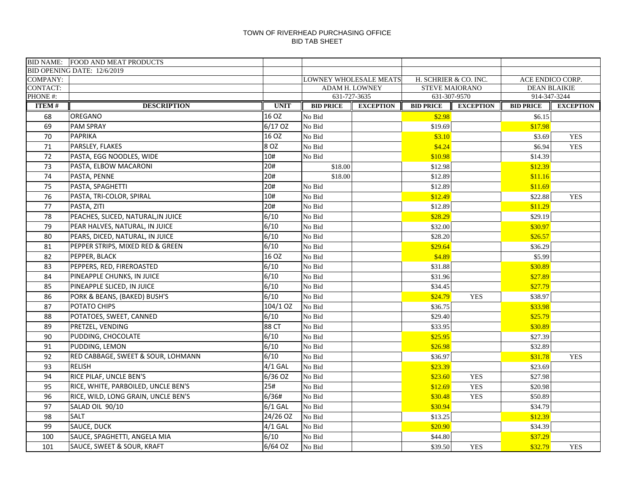|                            | <b>BID NAME: FOOD AND MEAT PRODUCTS</b>           |              |                  |                                |                    |                                |                                         |                  |
|----------------------------|---------------------------------------------------|--------------|------------------|--------------------------------|--------------------|--------------------------------|-----------------------------------------|------------------|
|                            | BID OPENING DATE: 12/6/2019                       |              |                  |                                |                    |                                |                                         |                  |
| <b>COMPANY:</b>            |                                                   |              |                  | LOWNEY WHOLESALE MEATS         |                    | H. SCHRIER & CO. INC.          | ACE ENDICO CORP.<br><b>DEAN BLAIKIE</b> |                  |
| <b>CONTACT:</b><br>PHONE#: |                                                   |              |                  | ADAM H. LOWNEY<br>631-727-3635 |                    | STEVE MAIORANO<br>631-307-9570 | 914-347-3244                            |                  |
| <b>ITEM#</b>               | <b>DESCRIPTION</b>                                | <b>UNIT</b>  | <b>BID PRICE</b> | <b>EXCEPTION</b>               | <b>BID PRICE</b>   | <b>EXCEPTION</b>               | <b>BID PRICE</b>                        | <b>EXCEPTION</b> |
| 68                         | OREGANO                                           | 16 OZ        | No Bid           |                                | \$2.98             |                                | \$6.15                                  |                  |
| 69                         | <b>PAM SPRAY</b>                                  | 6/17 OZ      | No Bid           |                                | \$19.69            |                                | \$17.98                                 |                  |
| 70                         | <b>PAPRIKA</b>                                    | 16 OZ        | No Bid           |                                | \$3.10             |                                | \$3.69                                  | <b>YES</b>       |
| 71                         | PARSLEY, FLAKES                                   | 8 OZ         | No Bid           |                                | \$4.24             |                                | \$6.94                                  | <b>YES</b>       |
| 72                         | PASTA, EGG NOODLES, WIDE                          | 10#          | No Bid           |                                | \$10.98            |                                | \$14.39                                 |                  |
| 73                         | PASTA, ELBOW MACARONI                             | 20#          | \$18.00          |                                | \$12.98            |                                | \$12.39                                 |                  |
| 74                         | PASTA, PENNE                                      | 20#          | \$18.00          |                                | \$12.89            |                                | \$11.16                                 |                  |
| 75                         | PASTA, SPAGHETTI                                  | 20#          | No Bid           |                                | \$12.89            |                                |                                         |                  |
| 76                         | PASTA, TRI-COLOR, SPIRAL                          | 10#          | No Bid           |                                | \$12.49            |                                | \$11.69                                 |                  |
| 77                         |                                                   | 20#          | No Bid           |                                |                    |                                | \$22.88                                 | <b>YES</b>       |
| 78                         | PASTA, ZITI<br>PEACHES, SLICED, NATURAL, IN JUICE | 6/10         | No Bid           |                                | \$12.89<br>\$28.29 |                                | \$11.29                                 |                  |
| 79                         | PEAR HALVES, NATURAL, IN JUICE                    | 6/10         | No Bid           |                                | \$32.00            |                                | \$29.19<br>\$30.97                      |                  |
| 80                         | PEARS, DICED, NATURAL, IN JUICE                   | 6/10         | No Bid           |                                | \$28.20            |                                | \$26.57                                 |                  |
|                            |                                                   | 6/10         | No Bid           |                                | \$29.64            |                                |                                         |                  |
| 81                         | PEPPER STRIPS, MIXED RED & GREEN                  | 16 OZ        |                  |                                |                    |                                | \$36.29                                 |                  |
| 82                         | PEPPER, BLACK<br>PEPPERS, RED, FIREROASTED        | 6/10         | No Bid<br>No Bid |                                | \$4.89             |                                | \$5.99                                  |                  |
| 83<br>84                   |                                                   | 6/10         |                  |                                | \$31.88            |                                | \$30.89                                 |                  |
|                            | PINEAPPLE CHUNKS, IN JUICE                        | 6/10         | No Bid           |                                | \$31.96            |                                | \$27.89                                 |                  |
| 85                         | PINEAPPLE SLICED, IN JUICE                        | 6/10         | No Bid           |                                | \$34.45            |                                | \$27.79                                 |                  |
| 86                         | PORK & BEANS, (BAKED) BUSH'S                      |              | No Bid           |                                | \$24.79            | <b>YES</b>                     | \$38.97                                 |                  |
| 87                         | POTATO CHIPS                                      | 104/1 OZ     | No Bid           |                                | \$36.75            |                                | \$33.98                                 |                  |
| 88                         | POTATOES, SWEET, CANNED                           | 6/10         | No Bid           |                                | \$29.40            |                                | \$25.79                                 |                  |
| 89                         | PRETZEL, VENDING                                  | <b>88 CT</b> | No Bid           |                                | \$33.95            |                                | \$30.89                                 |                  |
| 90                         | PUDDING, CHOCOLATE                                | 6/10         | No Bid           |                                | \$25.95            |                                | \$27.39                                 |                  |
| 91                         | PUDDING, LEMON                                    | 6/10         | No Bid           |                                | \$26.98            |                                | \$32.89                                 |                  |
| 92                         | RED CABBAGE, SWEET & SOUR, LOHMANN                | 6/10         | No Bid           |                                | \$36.97            |                                | \$31.78                                 | <b>YES</b>       |
| 93                         | <b>RELISH</b>                                     | $4/1$ GAL    | No Bid           |                                | \$23.39            |                                | \$23.69                                 |                  |
| 94                         | RICE PILAF, UNCLE BEN'S                           | 6/36 OZ      | No Bid           |                                | \$23.60            | <b>YES</b>                     | \$27.98                                 |                  |
| 95                         | RICE, WHITE, PARBOILED, UNCLE BEN'S               | 25#          | No Bid           |                                | \$12.69            | <b>YES</b>                     | \$20.98                                 |                  |
| 96                         | RICE, WILD, LONG GRAIN, UNCLE BEN'S               | 6/36#        | No Bid           |                                | \$30.48            | <b>YES</b>                     | \$50.89                                 |                  |
| 97                         | SALAD OIL 90/10                                   | $6/1$ GAL    | No Bid           |                                | \$30.94            |                                | \$34.79                                 |                  |
| 98                         | <b>SALT</b>                                       | 24/26 OZ     | No Bid           |                                | \$13.25            |                                | \$12.39                                 |                  |
| 99                         | SAUCE, DUCK                                       | $4/1$ GAL    | No Bid           |                                | \$20.90            |                                | \$34.39                                 |                  |
| 100                        | SAUCE, SPAGHETTI, ANGELA MIA                      | 6/10         | No Bid           |                                | \$44.80            |                                | \$37.29                                 |                  |
| 101                        | SAUCE, SWEET & SOUR, KRAFT                        | 6/64 OZ      | No Bid           |                                | \$39.50            | <b>YES</b>                     | \$32.79                                 | <b>YES</b>       |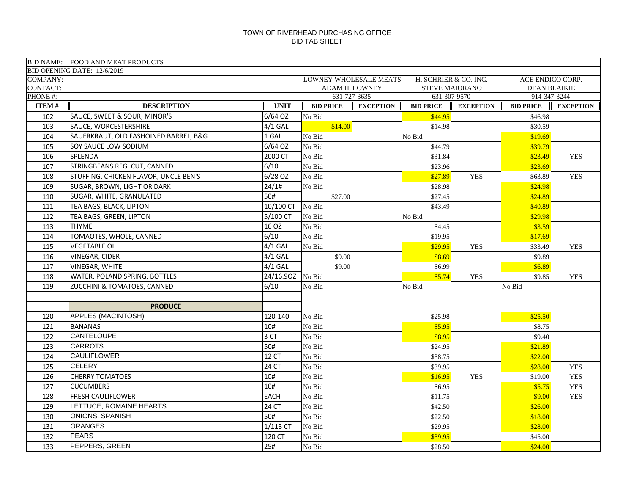|                            | BID NAME: FOOD AND MEAT PRODUCTS      |                 |                  |                                |                       |                                  |                  |                     |
|----------------------------|---------------------------------------|-----------------|------------------|--------------------------------|-----------------------|----------------------------------|------------------|---------------------|
|                            | BID OPENING DATE: 12/6/2019           |                 |                  |                                |                       |                                  |                  |                     |
| <b>COMPANY:</b>            |                                       |                 |                  | <b>LOWNEY WHOLESALE MEATS</b>  | H. SCHRIER & CO. INC. |                                  |                  | ACE ENDICO CORP.    |
| <b>CONTACT:</b><br>PHONE#: |                                       |                 |                  | ADAM H. LOWNEY<br>631-727-3635 |                       | <b>STEVE MAIORANO</b>            | 914-347-3244     | <b>DEAN BLAIKIE</b> |
| <b>ITEM#</b>               | <b>DESCRIPTION</b>                    | <b>UNIT</b>     | <b>BID PRICE</b> | <b>EXCEPTION</b>               | <b>BID PRICE</b>      | 631-307-9570<br><b>EXCEPTION</b> | <b>BID PRICE</b> | <b>EXCEPTION</b>    |
|                            |                                       |                 |                  |                                |                       |                                  |                  |                     |
| 102                        | SAUCE, SWEET & SOUR, MINOR'S          | 6/64 OZ         | No Bid           |                                | \$44.95               |                                  | \$46.98          |                     |
| 103                        | <b>SAUCE, WORCESTERSHIRE</b>          | $4/1$ GAL       | \$14.00          |                                | \$14.98               |                                  | \$30.59          |                     |
| 104                        | SAUERKRAUT, OLD FASHOINED BARREL, B&G | 1 GAL           | No Bid           |                                | No Bid                |                                  | \$19.69          |                     |
| 105                        | SOY SAUCE LOW SODIUM                  | 6/64 OZ         | No Bid           |                                | \$44.79               |                                  | \$39.79          |                     |
| 106                        | <b>SPLENDA</b>                        | 2000 CT         | No Bid           |                                | \$31.84               |                                  | \$23.49          | <b>YES</b>          |
| 107                        | STRINGBEANS REG. CUT, CANNED          | 6/10            | No Bid           |                                | \$23.96               |                                  | \$23.69          |                     |
| 108                        | STUFFING, CHICKEN FLAVOR, UNCLE BEN'S | 6/28 OZ         | No Bid           |                                | \$27.89               | <b>YES</b>                       | \$63.89          | <b>YES</b>          |
| 109                        | SUGAR, BROWN, LIGHT OR DARK           | 24/1#           | No Bid           |                                | \$28.98               |                                  | \$24.98          |                     |
| 110                        | SUGAR, WHITE, GRANULATED              | 50#             | \$27.00          |                                | \$27.45               |                                  | \$24.89          |                     |
| 111                        | TEA BAGS, BLACK, LIPTON               | 10/100 CT       | No Bid           |                                | \$43.49               |                                  | \$40.89          |                     |
| 112                        | TEA BAGS, GREEN, LIPTON               | 5/100 CT        | No Bid           |                                | No Bid                |                                  | \$29.98          |                     |
| 113                        | <b>THYME</b>                          | 16 OZ           | No Bid           |                                | \$4.45                |                                  | \$3.59           |                     |
| 114                        | TOMAOTES, WHOLE, CANNED               | 6/10            | No Bid           |                                | \$19.95               |                                  | \$17.69          |                     |
| 115                        | <b>VEGETABLE OIL</b>                  | $4/1$ GAL       | No Bid           |                                | \$29.95               | <b>YES</b>                       | \$33.49          | <b>YES</b>          |
| 116                        | <b>VINEGAR, CIDER</b>                 | $4/1$ GAL       | \$9.00           |                                | \$8.69                |                                  | \$9.89           |                     |
| 117                        | <b>VINEGAR, WHITE</b>                 | $4/1$ GAL       | \$9.00           |                                | \$6.99                |                                  | \$6.89           |                     |
| 118                        | <b>WATER, POLAND SPRING, BOTTLES</b>  | 24/16.90Z       | No Bid           |                                | \$5.74                | <b>YES</b>                       | \$9.85           | <b>YES</b>          |
| 119                        | ZUCCHINI & TOMATOES, CANNED           | 6/10            | No Bid           |                                | No Bid                |                                  | No Bid           |                     |
|                            |                                       |                 |                  |                                |                       |                                  |                  |                     |
|                            | <b>PRODUCE</b>                        |                 |                  |                                |                       |                                  |                  |                     |
| 120                        | <b>APPLES (MACINTOSH)</b>             | 120-140         | No Bid           |                                | \$25.98               |                                  | \$25.50          |                     |
| 121                        | <b>BANANAS</b>                        | 10#             | No Bid           |                                | \$5.95                |                                  | \$8.75           |                     |
| 122                        | <b>CANTELOUPE</b>                     | 3 <sub>CT</sub> | No Bid           |                                | \$8.95                |                                  | \$9.40           |                     |
| 123                        | <b>CARROTS</b>                        | 50#             | No Bid           |                                | \$24.95               |                                  | \$21.89          |                     |
| 124                        | <b>CAULIFLOWER</b>                    | <b>12 CT</b>    | No Bid           |                                | \$38.75               |                                  | \$22.00          |                     |
| 125                        | <b>CELERY</b>                         | 24 CT           | No Bid           |                                | \$39.95               |                                  | \$28.00          | <b>YES</b>          |
| 126                        | <b>CHERRY TOMATOES</b>                | 10#             | No Bid           |                                | \$16.95               | <b>YES</b>                       | \$19.00          | <b>YES</b>          |
| 127                        | <b>CUCUMBERS</b>                      | 10#             | No Bid           |                                | \$6.95                |                                  | \$5.75           | <b>YES</b>          |
| 128                        | <b>FRESH CAULIFLOWER</b>              | <b>EACH</b>     | No Bid           |                                | \$11.75               |                                  | \$9.00           | <b>YES</b>          |
| 129                        | LETTUCE, ROMAINE HEARTS               | <b>24 CT</b>    | No Bid           |                                | \$42.50               |                                  | \$26.00          |                     |
| 130                        | <b>ONIONS, SPANISH</b>                | 50#             | No Bid           |                                | \$22.50               |                                  | \$18.00          |                     |
| 131                        | <b>ORANGES</b>                        | 1/113 CT        | No Bid           |                                | \$29.95               |                                  | \$28.00          |                     |
| 132                        | <b>PEARS</b>                          | 120 CT          | No Bid           |                                | \$39.95               |                                  | \$45.00          |                     |
| 133                        | PEPPERS, GREEN                        | 25#             | No Bid           |                                | \$28.50               |                                  | \$24.00          |                     |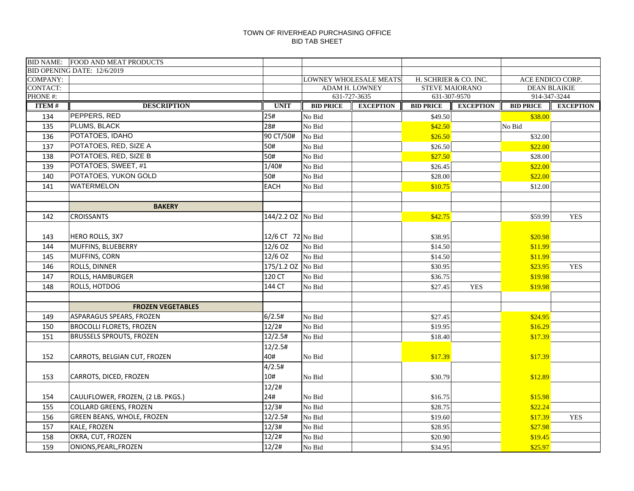| BID OPENING DATE: 12/6/2019<br><b>COMPANY:</b><br>LOWNEY WHOLESALE MEATS<br>H. SCHRIER & CO. INC.<br>ACE ENDICO CORP.<br>CONTACT:<br>STEVE MAIORANO<br><b>DEAN BLAIKIE</b><br>ADAM H. LOWNEY<br>PHONE#:<br>631-727-3635<br>631-307-9570<br>914-347-3244<br><b>ITEM#</b><br><b>DESCRIPTION</b><br><b>UNIT</b><br><b>BID PRICE</b><br><b>EXCEPTION</b><br><b>BID PRICE</b><br><b>EXCEPTION</b><br><b>EXCEPTION</b><br><b>BID PRICE</b><br>PEPPERS, RED<br>25#<br>134<br>\$49.50<br>No Bid<br>\$38.00<br>PLUMS, BLACK<br>28#<br>135<br>No Bid<br>\$42.50<br>No Bid<br>POTATOES, IDAHO<br>136<br>90 CT/50#<br>No Bid<br>\$26.50<br>\$32.00<br>POTATOES, RED, SIZE A<br>50#<br>137<br>No Bid<br>\$26.50<br>\$22.00<br>POTATOES, RED, SIZE B<br>50#<br>No Bid<br>138<br>\$27.50<br>\$28.00<br>POTATOES, SWEET, #1<br>139<br>1/40#<br>No Bid<br>\$26.45<br>\$22.00<br>POTATOES, YUKON GOLD<br>50#<br>140<br>No Bid<br>\$28.00<br>\$22.00<br><b>WATERMELON</b><br><b>EACH</b><br>141<br>No Bid<br>\$10.75<br>\$12.00<br><b>BAKERY</b><br><b>CROISSANTS</b><br>144/2.2 OZ No Bid<br>\$42.75<br>142<br>\$59.99<br><b>YES</b><br>12/6 CT 72 No Bid<br>HERO ROLLS, 3X7<br>\$38.95<br>\$20.98<br>143<br>12/6 OZ<br>MUFFINS, BLUEBERRY<br>No Bid<br>\$11.99<br>144<br>\$14.50<br>12/6 OZ<br>MUFFINS, CORN<br>No Bid<br>\$11.99<br>145<br>\$14.50<br>175/1.2 OZ No Bid<br>146<br>ROLLS, DINNER<br>\$30.95<br>\$23.95<br><b>YES</b><br>ROLLS, HAMBURGER<br>120 CT<br>147<br>No Bid<br>\$19.98<br>\$36.75<br>144 CT<br>148<br>ROLLS, HOTDOG<br><b>YES</b><br>No Bid<br>\$27.45<br>\$19.98<br><b>FROZEN VEGETABLES</b><br>ASPARAGUS SPEARS, FROZEN<br>6/2.5#<br>No Bid<br>149<br>\$27.45<br>\$24.95<br>12/2#<br><b>BROCOLLI FLORETS, FROZEN</b><br>No Bid<br>\$19.95<br>150<br>\$16.29<br><b>BRUSSELS SPROUTS, FROZEN</b><br>12/2.5#<br>No Bid<br>151<br>\$18.40<br>\$17.39<br>12/2.5#<br>40#<br>152<br>No Bid<br>\$17.39<br>\$17.39<br>CARROTS, BELGIAN CUT, FROZEN<br>4/2.5#<br>10#<br>CARROTS, DICED, FROZEN<br>\$30.79<br>\$12.89<br>153<br>No Bid<br>12/2#<br>24#<br>154<br>CAULIFLOWER, FROZEN, (2 LB. PKGS.)<br>No Bid<br>\$16.75<br>\$15.98 |     | BID NAME: FOOD AND MEAT PRODUCTS |       |        |         |         |  |
|-----------------------------------------------------------------------------------------------------------------------------------------------------------------------------------------------------------------------------------------------------------------------------------------------------------------------------------------------------------------------------------------------------------------------------------------------------------------------------------------------------------------------------------------------------------------------------------------------------------------------------------------------------------------------------------------------------------------------------------------------------------------------------------------------------------------------------------------------------------------------------------------------------------------------------------------------------------------------------------------------------------------------------------------------------------------------------------------------------------------------------------------------------------------------------------------------------------------------------------------------------------------------------------------------------------------------------------------------------------------------------------------------------------------------------------------------------------------------------------------------------------------------------------------------------------------------------------------------------------------------------------------------------------------------------------------------------------------------------------------------------------------------------------------------------------------------------------------------------------------------------------------------------------------------------------------------------------------------------------------------------------------------------------------------------------------------------------------------------------------------------------|-----|----------------------------------|-------|--------|---------|---------|--|
|                                                                                                                                                                                                                                                                                                                                                                                                                                                                                                                                                                                                                                                                                                                                                                                                                                                                                                                                                                                                                                                                                                                                                                                                                                                                                                                                                                                                                                                                                                                                                                                                                                                                                                                                                                                                                                                                                                                                                                                                                                                                                                                                   |     |                                  |       |        |         |         |  |
|                                                                                                                                                                                                                                                                                                                                                                                                                                                                                                                                                                                                                                                                                                                                                                                                                                                                                                                                                                                                                                                                                                                                                                                                                                                                                                                                                                                                                                                                                                                                                                                                                                                                                                                                                                                                                                                                                                                                                                                                                                                                                                                                   |     |                                  |       |        |         |         |  |
|                                                                                                                                                                                                                                                                                                                                                                                                                                                                                                                                                                                                                                                                                                                                                                                                                                                                                                                                                                                                                                                                                                                                                                                                                                                                                                                                                                                                                                                                                                                                                                                                                                                                                                                                                                                                                                                                                                                                                                                                                                                                                                                                   |     |                                  |       |        |         |         |  |
|                                                                                                                                                                                                                                                                                                                                                                                                                                                                                                                                                                                                                                                                                                                                                                                                                                                                                                                                                                                                                                                                                                                                                                                                                                                                                                                                                                                                                                                                                                                                                                                                                                                                                                                                                                                                                                                                                                                                                                                                                                                                                                                                   |     |                                  |       |        |         |         |  |
|                                                                                                                                                                                                                                                                                                                                                                                                                                                                                                                                                                                                                                                                                                                                                                                                                                                                                                                                                                                                                                                                                                                                                                                                                                                                                                                                                                                                                                                                                                                                                                                                                                                                                                                                                                                                                                                                                                                                                                                                                                                                                                                                   |     |                                  |       |        |         |         |  |
|                                                                                                                                                                                                                                                                                                                                                                                                                                                                                                                                                                                                                                                                                                                                                                                                                                                                                                                                                                                                                                                                                                                                                                                                                                                                                                                                                                                                                                                                                                                                                                                                                                                                                                                                                                                                                                                                                                                                                                                                                                                                                                                                   |     |                                  |       |        |         |         |  |
|                                                                                                                                                                                                                                                                                                                                                                                                                                                                                                                                                                                                                                                                                                                                                                                                                                                                                                                                                                                                                                                                                                                                                                                                                                                                                                                                                                                                                                                                                                                                                                                                                                                                                                                                                                                                                                                                                                                                                                                                                                                                                                                                   |     |                                  |       |        |         |         |  |
|                                                                                                                                                                                                                                                                                                                                                                                                                                                                                                                                                                                                                                                                                                                                                                                                                                                                                                                                                                                                                                                                                                                                                                                                                                                                                                                                                                                                                                                                                                                                                                                                                                                                                                                                                                                                                                                                                                                                                                                                                                                                                                                                   |     |                                  |       |        |         |         |  |
|                                                                                                                                                                                                                                                                                                                                                                                                                                                                                                                                                                                                                                                                                                                                                                                                                                                                                                                                                                                                                                                                                                                                                                                                                                                                                                                                                                                                                                                                                                                                                                                                                                                                                                                                                                                                                                                                                                                                                                                                                                                                                                                                   |     |                                  |       |        |         |         |  |
|                                                                                                                                                                                                                                                                                                                                                                                                                                                                                                                                                                                                                                                                                                                                                                                                                                                                                                                                                                                                                                                                                                                                                                                                                                                                                                                                                                                                                                                                                                                                                                                                                                                                                                                                                                                                                                                                                                                                                                                                                                                                                                                                   |     |                                  |       |        |         |         |  |
|                                                                                                                                                                                                                                                                                                                                                                                                                                                                                                                                                                                                                                                                                                                                                                                                                                                                                                                                                                                                                                                                                                                                                                                                                                                                                                                                                                                                                                                                                                                                                                                                                                                                                                                                                                                                                                                                                                                                                                                                                                                                                                                                   |     |                                  |       |        |         |         |  |
|                                                                                                                                                                                                                                                                                                                                                                                                                                                                                                                                                                                                                                                                                                                                                                                                                                                                                                                                                                                                                                                                                                                                                                                                                                                                                                                                                                                                                                                                                                                                                                                                                                                                                                                                                                                                                                                                                                                                                                                                                                                                                                                                   |     |                                  |       |        |         |         |  |
|                                                                                                                                                                                                                                                                                                                                                                                                                                                                                                                                                                                                                                                                                                                                                                                                                                                                                                                                                                                                                                                                                                                                                                                                                                                                                                                                                                                                                                                                                                                                                                                                                                                                                                                                                                                                                                                                                                                                                                                                                                                                                                                                   |     |                                  |       |        |         |         |  |
|                                                                                                                                                                                                                                                                                                                                                                                                                                                                                                                                                                                                                                                                                                                                                                                                                                                                                                                                                                                                                                                                                                                                                                                                                                                                                                                                                                                                                                                                                                                                                                                                                                                                                                                                                                                                                                                                                                                                                                                                                                                                                                                                   |     |                                  |       |        |         |         |  |
|                                                                                                                                                                                                                                                                                                                                                                                                                                                                                                                                                                                                                                                                                                                                                                                                                                                                                                                                                                                                                                                                                                                                                                                                                                                                                                                                                                                                                                                                                                                                                                                                                                                                                                                                                                                                                                                                                                                                                                                                                                                                                                                                   |     |                                  |       |        |         |         |  |
|                                                                                                                                                                                                                                                                                                                                                                                                                                                                                                                                                                                                                                                                                                                                                                                                                                                                                                                                                                                                                                                                                                                                                                                                                                                                                                                                                                                                                                                                                                                                                                                                                                                                                                                                                                                                                                                                                                                                                                                                                                                                                                                                   |     |                                  |       |        |         |         |  |
|                                                                                                                                                                                                                                                                                                                                                                                                                                                                                                                                                                                                                                                                                                                                                                                                                                                                                                                                                                                                                                                                                                                                                                                                                                                                                                                                                                                                                                                                                                                                                                                                                                                                                                                                                                                                                                                                                                                                                                                                                                                                                                                                   |     |                                  |       |        |         |         |  |
|                                                                                                                                                                                                                                                                                                                                                                                                                                                                                                                                                                                                                                                                                                                                                                                                                                                                                                                                                                                                                                                                                                                                                                                                                                                                                                                                                                                                                                                                                                                                                                                                                                                                                                                                                                                                                                                                                                                                                                                                                                                                                                                                   |     |                                  |       |        |         |         |  |
|                                                                                                                                                                                                                                                                                                                                                                                                                                                                                                                                                                                                                                                                                                                                                                                                                                                                                                                                                                                                                                                                                                                                                                                                                                                                                                                                                                                                                                                                                                                                                                                                                                                                                                                                                                                                                                                                                                                                                                                                                                                                                                                                   |     |                                  |       |        |         |         |  |
|                                                                                                                                                                                                                                                                                                                                                                                                                                                                                                                                                                                                                                                                                                                                                                                                                                                                                                                                                                                                                                                                                                                                                                                                                                                                                                                                                                                                                                                                                                                                                                                                                                                                                                                                                                                                                                                                                                                                                                                                                                                                                                                                   |     |                                  |       |        |         |         |  |
|                                                                                                                                                                                                                                                                                                                                                                                                                                                                                                                                                                                                                                                                                                                                                                                                                                                                                                                                                                                                                                                                                                                                                                                                                                                                                                                                                                                                                                                                                                                                                                                                                                                                                                                                                                                                                                                                                                                                                                                                                                                                                                                                   |     |                                  |       |        |         |         |  |
|                                                                                                                                                                                                                                                                                                                                                                                                                                                                                                                                                                                                                                                                                                                                                                                                                                                                                                                                                                                                                                                                                                                                                                                                                                                                                                                                                                                                                                                                                                                                                                                                                                                                                                                                                                                                                                                                                                                                                                                                                                                                                                                                   |     |                                  |       |        |         |         |  |
|                                                                                                                                                                                                                                                                                                                                                                                                                                                                                                                                                                                                                                                                                                                                                                                                                                                                                                                                                                                                                                                                                                                                                                                                                                                                                                                                                                                                                                                                                                                                                                                                                                                                                                                                                                                                                                                                                                                                                                                                                                                                                                                                   |     |                                  |       |        |         |         |  |
|                                                                                                                                                                                                                                                                                                                                                                                                                                                                                                                                                                                                                                                                                                                                                                                                                                                                                                                                                                                                                                                                                                                                                                                                                                                                                                                                                                                                                                                                                                                                                                                                                                                                                                                                                                                                                                                                                                                                                                                                                                                                                                                                   |     |                                  |       |        |         |         |  |
|                                                                                                                                                                                                                                                                                                                                                                                                                                                                                                                                                                                                                                                                                                                                                                                                                                                                                                                                                                                                                                                                                                                                                                                                                                                                                                                                                                                                                                                                                                                                                                                                                                                                                                                                                                                                                                                                                                                                                                                                                                                                                                                                   |     |                                  |       |        |         |         |  |
|                                                                                                                                                                                                                                                                                                                                                                                                                                                                                                                                                                                                                                                                                                                                                                                                                                                                                                                                                                                                                                                                                                                                                                                                                                                                                                                                                                                                                                                                                                                                                                                                                                                                                                                                                                                                                                                                                                                                                                                                                                                                                                                                   |     |                                  |       |        |         |         |  |
|                                                                                                                                                                                                                                                                                                                                                                                                                                                                                                                                                                                                                                                                                                                                                                                                                                                                                                                                                                                                                                                                                                                                                                                                                                                                                                                                                                                                                                                                                                                                                                                                                                                                                                                                                                                                                                                                                                                                                                                                                                                                                                                                   |     |                                  |       |        |         |         |  |
|                                                                                                                                                                                                                                                                                                                                                                                                                                                                                                                                                                                                                                                                                                                                                                                                                                                                                                                                                                                                                                                                                                                                                                                                                                                                                                                                                                                                                                                                                                                                                                                                                                                                                                                                                                                                                                                                                                                                                                                                                                                                                                                                   |     |                                  |       |        |         |         |  |
|                                                                                                                                                                                                                                                                                                                                                                                                                                                                                                                                                                                                                                                                                                                                                                                                                                                                                                                                                                                                                                                                                                                                                                                                                                                                                                                                                                                                                                                                                                                                                                                                                                                                                                                                                                                                                                                                                                                                                                                                                                                                                                                                   |     |                                  |       |        |         |         |  |
|                                                                                                                                                                                                                                                                                                                                                                                                                                                                                                                                                                                                                                                                                                                                                                                                                                                                                                                                                                                                                                                                                                                                                                                                                                                                                                                                                                                                                                                                                                                                                                                                                                                                                                                                                                                                                                                                                                                                                                                                                                                                                                                                   |     |                                  |       |        |         |         |  |
|                                                                                                                                                                                                                                                                                                                                                                                                                                                                                                                                                                                                                                                                                                                                                                                                                                                                                                                                                                                                                                                                                                                                                                                                                                                                                                                                                                                                                                                                                                                                                                                                                                                                                                                                                                                                                                                                                                                                                                                                                                                                                                                                   |     |                                  |       |        |         |         |  |
|                                                                                                                                                                                                                                                                                                                                                                                                                                                                                                                                                                                                                                                                                                                                                                                                                                                                                                                                                                                                                                                                                                                                                                                                                                                                                                                                                                                                                                                                                                                                                                                                                                                                                                                                                                                                                                                                                                                                                                                                                                                                                                                                   |     |                                  |       |        |         |         |  |
|                                                                                                                                                                                                                                                                                                                                                                                                                                                                                                                                                                                                                                                                                                                                                                                                                                                                                                                                                                                                                                                                                                                                                                                                                                                                                                                                                                                                                                                                                                                                                                                                                                                                                                                                                                                                                                                                                                                                                                                                                                                                                                                                   |     |                                  |       |        |         |         |  |
|                                                                                                                                                                                                                                                                                                                                                                                                                                                                                                                                                                                                                                                                                                                                                                                                                                                                                                                                                                                                                                                                                                                                                                                                                                                                                                                                                                                                                                                                                                                                                                                                                                                                                                                                                                                                                                                                                                                                                                                                                                                                                                                                   |     |                                  |       |        |         |         |  |
|                                                                                                                                                                                                                                                                                                                                                                                                                                                                                                                                                                                                                                                                                                                                                                                                                                                                                                                                                                                                                                                                                                                                                                                                                                                                                                                                                                                                                                                                                                                                                                                                                                                                                                                                                                                                                                                                                                                                                                                                                                                                                                                                   | 155 | <b>COLLARD GREENS, FROZEN</b>    | 12/3# | No Bid | \$28.75 | \$22.24 |  |
| <b>GREEN BEANS, WHOLE, FROZEN</b><br>12/2.5#<br>156<br>No Bid<br>\$19.60<br>\$17.39<br><b>YES</b>                                                                                                                                                                                                                                                                                                                                                                                                                                                                                                                                                                                                                                                                                                                                                                                                                                                                                                                                                                                                                                                                                                                                                                                                                                                                                                                                                                                                                                                                                                                                                                                                                                                                                                                                                                                                                                                                                                                                                                                                                                 |     |                                  |       |        |         |         |  |
| <b>KALE, FROZEN</b><br>12/3#<br>157<br>No Bid<br>\$28.95<br>\$27.98                                                                                                                                                                                                                                                                                                                                                                                                                                                                                                                                                                                                                                                                                                                                                                                                                                                                                                                                                                                                                                                                                                                                                                                                                                                                                                                                                                                                                                                                                                                                                                                                                                                                                                                                                                                                                                                                                                                                                                                                                                                               |     |                                  |       |        |         |         |  |
| 12/2#<br>OKRA, CUT, FROZEN<br>No Bid<br>\$20.90<br>\$19.45<br>158                                                                                                                                                                                                                                                                                                                                                                                                                                                                                                                                                                                                                                                                                                                                                                                                                                                                                                                                                                                                                                                                                                                                                                                                                                                                                                                                                                                                                                                                                                                                                                                                                                                                                                                                                                                                                                                                                                                                                                                                                                                                 |     |                                  |       |        |         |         |  |
| 12/2#<br>159<br>ONIONS, PEARL, FROZEN<br>No Bid<br>\$34.95<br>\$25.97                                                                                                                                                                                                                                                                                                                                                                                                                                                                                                                                                                                                                                                                                                                                                                                                                                                                                                                                                                                                                                                                                                                                                                                                                                                                                                                                                                                                                                                                                                                                                                                                                                                                                                                                                                                                                                                                                                                                                                                                                                                             |     |                                  |       |        |         |         |  |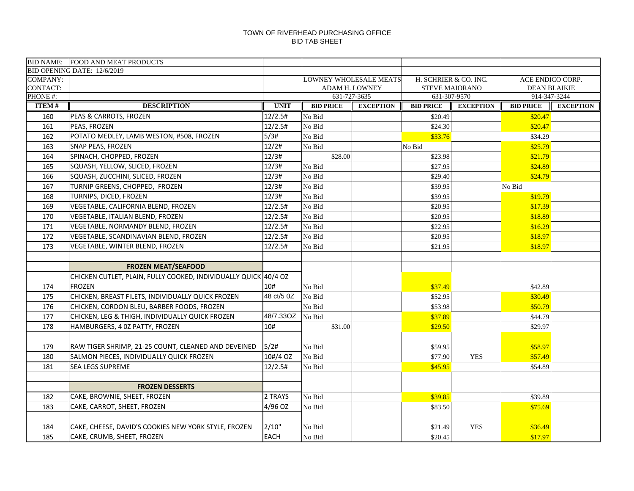|                         | BID NAME: FOOD AND MEAT PRODUCTS                                                 |                |                  |                                  |                                  |                  |                                     |                  |
|-------------------------|----------------------------------------------------------------------------------|----------------|------------------|----------------------------------|----------------------------------|------------------|-------------------------------------|------------------|
|                         | BID OPENING DATE: 12/6/2019                                                      |                |                  |                                  |                                  |                  |                                     |                  |
| <b>COMPANY:</b>         |                                                                                  |                |                  | LOWNEY WHOLESALE MEATS           | H. SCHRIER & CO. INC.            |                  | ACE ENDICO CORP.                    |                  |
| <b>CONTACT:</b>         |                                                                                  |                |                  | ADAM H. LOWNEY                   | <b>STEVE MAIORANO</b>            |                  | <b>DEAN BLAIKIE</b><br>914-347-3244 |                  |
| PHONE#:<br><b>ITEM#</b> | <b>DESCRIPTION</b>                                                               | <b>UNIT</b>    | <b>BID PRICE</b> | 631-727-3635<br><b>EXCEPTION</b> | 631-307-9570<br><b>BID PRICE</b> | <b>EXCEPTION</b> | <b>BID PRICE</b>                    | <b>EXCEPTION</b> |
|                         |                                                                                  | 12/2.5#        |                  |                                  |                                  |                  |                                     |                  |
| 160<br>161              | PEAS & CARROTS, FROZEN<br>PEAS, FROZEN                                           | 12/2.5#        | No Bid<br>No Bid |                                  | \$20.49<br>\$24.30               |                  | \$20.47<br>\$20.47                  |                  |
|                         |                                                                                  | 5/3#           |                  |                                  |                                  |                  |                                     |                  |
| 162                     | POTATO MEDLEY, LAMB WESTON, #508, FROZEN<br>SNAP PEAS, FROZEN                    | 12/2#          | No Bid           |                                  | \$33.76                          |                  | \$34.29                             |                  |
| 163                     | SPINACH, CHOPPED, FROZEN                                                         | 12/3#          | No Bid           |                                  | No Bid                           |                  | \$25.79                             |                  |
| 164                     |                                                                                  |                | \$28.00          |                                  | \$23.98                          |                  | \$21.79                             |                  |
| 165                     | SQUASH, YELLOW, SLICED, FROZEN                                                   | 12/3#          | No Bid           |                                  | \$27.95                          |                  | \$24.89                             |                  |
| 166                     | SQUASH, ZUCCHINI, SLICED, FROZEN                                                 | 12/3#          | No Bid           |                                  | \$29.40                          |                  | \$24.79                             |                  |
| 167                     | TURNIP GREENS, CHOPPED, FROZEN                                                   | 12/3#<br>12/3# | No Bid           |                                  | \$39.95                          |                  | No Bid                              |                  |
| 168                     | TURNIPS, DICED, FROZEN                                                           |                | No Bid           |                                  | \$39.95                          |                  | \$19.79                             |                  |
| 169                     | VEGETABLE, CALIFORNIA BLEND, FROZEN                                              | 12/2.5#        | No Bid           |                                  | \$20.95                          |                  | \$17.39                             |                  |
| 170                     | VEGETABLE, ITALIAN BLEND, FROZEN                                                 | 12/2.5#        | No Bid           |                                  | \$20.95                          |                  | \$18.89                             |                  |
| 171                     | VEGETABLE, NORMANDY BLEND, FROZEN                                                | 12/2.5#        | No Bid           |                                  | \$22.95                          |                  | \$16.29                             |                  |
| 172                     | VEGETABLE, SCANDINAVIAN BLEND, FROZEN                                            | 12/2.5#        | No Bid           |                                  | \$20.95                          |                  | \$18.97                             |                  |
| 173                     | VEGETABLE, WINTER BLEND, FROZEN                                                  | 12/2.5#        | No Bid           |                                  | \$21.95                          |                  | \$18.97                             |                  |
|                         | <b>FROZEN MEAT/SEAFOOD</b>                                                       |                |                  |                                  |                                  |                  |                                     |                  |
|                         |                                                                                  |                |                  |                                  |                                  |                  |                                     |                  |
|                         | CHICKEN CUTLET, PLAIN, FULLY COOKED, INDIVIDUALLY QUICK 40/4 OZ<br><b>FROZEN</b> | 10#            |                  |                                  |                                  |                  |                                     |                  |
| 174                     |                                                                                  | 48 ct/5 0Z     | No Bid<br>No Bid |                                  | \$37.49                          |                  | \$42.89                             |                  |
| 175<br>176              | CHICKEN, BREAST FILETS, INDIVIDUALLY QUICK FROZEN                                |                | No Bid           |                                  | \$52.95<br>\$53.98               |                  | \$30.49                             |                  |
|                         | CHICKEN, CORDON BLEU, BARBER FOODS, FROZEN                                       | 48/7.33OZ      |                  |                                  |                                  |                  | \$50.79                             |                  |
| 177                     | CHICKEN, LEG & THIGH, INDIVIDUALLY QUICK FROZEN                                  | 10#            | No Bid           |                                  | \$37.89                          |                  | \$44.79                             |                  |
| 178                     | HAMBURGERS, 4 0Z PATTY, FROZEN                                                   |                | \$31.00          |                                  | \$29.50                          |                  | \$29.97                             |                  |
| 179                     | RAW TIGER SHRIMP, 21-25 COUNT, CLEANED AND DEVEINED                              | 5/2#           | No Bid           |                                  | \$59.95                          |                  | \$58.97                             |                  |
| 180                     | SALMON PIECES, INDIVIDUALLY QUICK FROZEN                                         | 10#/4 OZ       | No Bid           |                                  | \$77.90                          | <b>YES</b>       | \$57.49                             |                  |
| 181                     | <b>SEA LEGS SUPREME</b>                                                          | 12/2.5#        | No Bid           |                                  | \$45.95                          |                  | \$54.89                             |                  |
|                         |                                                                                  |                |                  |                                  |                                  |                  |                                     |                  |
|                         | <b>FROZEN DESSERTS</b>                                                           |                |                  |                                  |                                  |                  |                                     |                  |
| 182                     | CAKE, BROWNIE, SHEET, FROZEN                                                     | 2 TRAYS        | No Bid           |                                  | \$39.85                          |                  | \$39.89                             |                  |
| 183                     | CAKE, CARROT, SHEET, FROZEN                                                      | 4/96 OZ        | No Bid           |                                  | \$83.50                          |                  | \$75.69                             |                  |
|                         |                                                                                  |                |                  |                                  |                                  |                  |                                     |                  |
| 184                     | CAKE, CHEESE, DAVID'S COOKIES NEW YORK STYLE, FROZEN                             | 2/10"          | No Bid           |                                  | \$21.49                          | <b>YES</b>       | \$36.49                             |                  |
| 185                     | CAKE, CRUMB, SHEET, FROZEN                                                       | <b>EACH</b>    | No Bid           |                                  | \$20.45                          |                  | \$17.97                             |                  |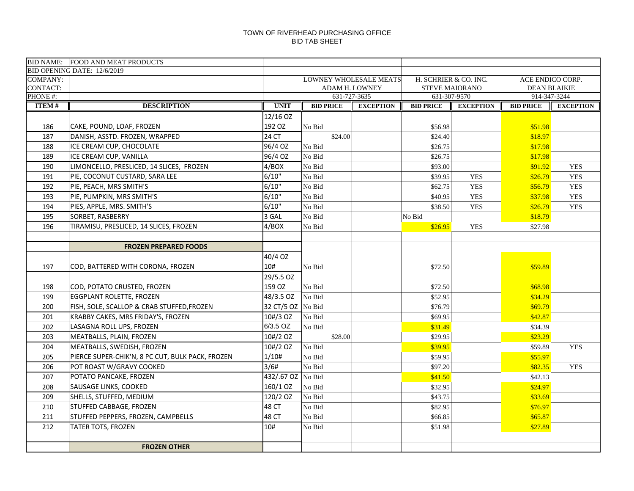|              | <b>BID NAME: FOOD AND MEAT PRODUCTS</b>          |             |                               |                  |                  |                       |                     |                  |
|--------------|--------------------------------------------------|-------------|-------------------------------|------------------|------------------|-----------------------|---------------------|------------------|
|              | BID OPENING DATE: 12/6/2019                      |             |                               |                  |                  |                       |                     |                  |
| COMPANY:     |                                                  |             | <b>LOWNEY WHOLESALE MEATS</b> |                  |                  | H. SCHRIER & CO. INC. | ACE ENDICO CORP.    |                  |
| CONTACT:     |                                                  |             | <b>ADAM H. LOWNEY</b>         |                  |                  | <b>STEVE MAIORANO</b> | <b>DEAN BLAIKIE</b> |                  |
| PHONE#:      |                                                  |             | 631-727-3635                  |                  |                  | 631-307-9570          | 914-347-3244        |                  |
| <b>ITEM#</b> | <b>DESCRIPTION</b>                               | <b>UNIT</b> | <b>BID PRICE</b>              | <b>EXCEPTION</b> | <b>BID PRICE</b> | <b>EXCEPTION</b>      | <b>BID PRICE</b>    | <b>EXCEPTION</b> |
|              |                                                  | 12/16 OZ    |                               |                  |                  |                       |                     |                  |
| 186          | CAKE, POUND, LOAF, FROZEN                        | 192 OZ      | No Bid                        |                  | \$56.98          |                       | \$51.98             |                  |
| 187          | DANISH, ASSTD. FROZEN, WRAPPED                   | 24 CT       | \$24.00                       |                  | \$24.40          |                       | \$18.97             |                  |
| 188          | ICE CREAM CUP, CHOCOLATE                         | 96/4 OZ     | No Bid                        |                  | \$26.75          |                       | \$17.98             |                  |
| 189          | ICE CREAM CUP, VANILLA                           | 96/4 OZ     | No Bid                        |                  | \$26.75          |                       | \$17.98             |                  |
| 190          | LIMONCELLO, PRESLICED, 14 SLICES, FROZEN         | 4/BOX       | No Bid                        |                  | \$93.00          |                       | \$91.92             | <b>YES</b>       |
| 191          | PIE, COCONUT CUSTARD, SARA LEE                   | 6/10"       | No Bid                        |                  | \$39.95          | <b>YES</b>            | \$26.79             | <b>YES</b>       |
| 192          | PIE, PEACH, MRS SMITH'S                          | 6/10"       | No Bid                        |                  | \$62.75          | <b>YES</b>            | \$56.79             | <b>YES</b>       |
| 193          | PIE, PUMPKIN, MRS SMITH'S                        | 6/10"       | No Bid                        |                  | \$40.95          | <b>YES</b>            | \$37.98             | <b>YES</b>       |
| 194          | PIES, APPLE, MRS. SMITH'S                        | 6/10"       | No Bid                        |                  | \$38.50          | <b>YES</b>            | \$26.79             | <b>YES</b>       |
| 195          | SORBET, RASBERRY                                 | 3 GAL       | No Bid                        |                  | No Bid           |                       | \$18.79             |                  |
| 196          | TIRAMISU, PRESLICED, 14 SLICES, FROZEN           | 4/BOX       | No Bid                        |                  | \$26.95          | <b>YES</b>            | \$27.98             |                  |
|              |                                                  |             |                               |                  |                  |                       |                     |                  |
|              | <b>FROZEN PREPARED FOODS</b>                     |             |                               |                  |                  |                       |                     |                  |
|              |                                                  | 40/4 OZ     |                               |                  |                  |                       |                     |                  |
| 197          | COD, BATTERED WITH CORONA, FROZEN                | 10#         | No Bid                        |                  | \$72.50          |                       | \$59.89             |                  |
|              |                                                  | 29/5.5 OZ   |                               |                  |                  |                       |                     |                  |
| 198          | COD, POTATO CRUSTED, FROZEN                      | 159 OZ      | No Bid                        |                  | \$72.50          |                       | \$68.98             |                  |
| 199          | EGGPLANT ROLETTE, FROZEN                         | 48/3.5 OZ   | No Bid                        |                  | \$52.95          |                       | \$34.29             |                  |
| 200          | FISH, SOLE, SCALLOP & CRAB STUFFED, FROZEN       | 32 CT/5 OZ  | No Bid                        |                  | \$76.79          |                       | \$69.79             |                  |
| 201          | KRABBY CAKES, MRS FRIDAY'S, FROZEN               | 10#/3 OZ    | No Bid                        |                  | \$69.95          |                       | \$42.87             |                  |
| 202          | LASAGNA ROLL UPS, FROZEN                         | 6/3.5 OZ    | No Bid                        |                  | \$31.49          |                       | \$34.39             |                  |
| 203          | MEATBALLS, PLAIN, FROZEN                         | 10#/2 OZ    | \$28.00                       |                  | \$29.95          |                       | \$23.29             |                  |
| 204          | MEATBALLS, SWEDISH, FROZEN                       | 10#/2 OZ    | No Bid                        |                  | \$39.95          |                       | \$59.89             | <b>YES</b>       |
| 205          | PIERCE SUPER-CHIK'N, 8 PC CUT, BULK PACK, FROZEN | 1/10#       | No Bid                        |                  | \$59.95          |                       | \$55.97             |                  |
| 206          | POT ROAST W/GRAVY COOKED                         | 3/6#        | No Bid                        |                  | \$97.20          |                       | \$82.35             | <b>YES</b>       |
| 207          | POTATO PANCAKE, FROZEN                           | 432/.67 OZ  | No Bid                        |                  | \$41.50          |                       | \$42.13             |                  |
| 208          | SAUSAGE LINKS, COOKED                            | 160/1 OZ    | No Bid                        |                  | \$32.95          |                       | \$24.97             |                  |
| 209          | SHELLS, STUFFED, MEDIUM                          | 120/2 OZ    | No Bid                        |                  | \$43.75          |                       | \$33.69             |                  |
| 210          | STUFFED CABBAGE, FROZEN                          | 48 CT       | No Bid                        |                  | \$82.95          |                       | \$76.97             |                  |
| 211          | STUFFED PEPPERS, FROZEN, CAMPBELLS               | 48 CT       | No Bid                        |                  | \$66.85          |                       | \$65.87             |                  |
| 212          | <b>TATER TOTS, FROZEN</b>                        | 10#         | No Bid                        |                  | \$51.98          |                       | \$27.89             |                  |
|              |                                                  |             |                               |                  |                  |                       |                     |                  |
|              | <b>FROZEN OTHER</b>                              |             |                               |                  |                  |                       |                     |                  |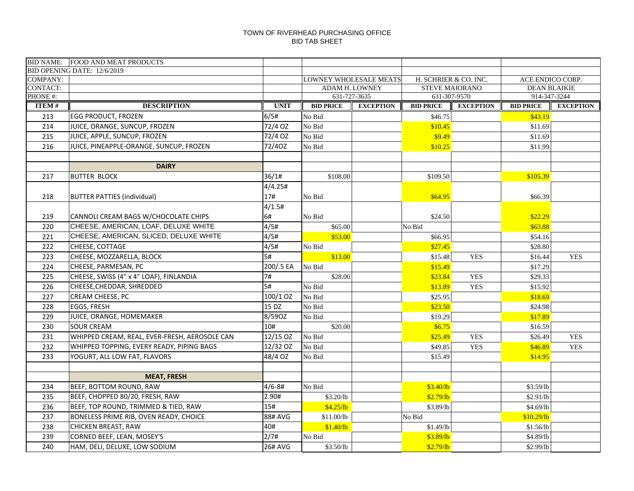|                 | BID NAME: FOOD AND MEAT PRODUCTS              |                 |                  |                                  |                                  |                       |                                  |                     |
|-----------------|-----------------------------------------------|-----------------|------------------|----------------------------------|----------------------------------|-----------------------|----------------------------------|---------------------|
|                 | BID OPENING DATE: 12/6/2019                   |                 |                  |                                  |                                  |                       |                                  |                     |
| <b>COMPANY:</b> |                                               |                 |                  | LOWNEY WHOLESALE MEATS           | H. SCHRIER & CO. INC.            |                       | ACE ENDICO CORP.                 |                     |
| <b>CONTACT:</b> |                                               |                 |                  | ADAM H. LOWNEY                   |                                  | <b>STEVE MAIORANO</b> |                                  | <b>DEAN BLAIKIE</b> |
| PHONE#:         | <b>DESCRIPTION</b>                            | <b>UNIT</b>     | <b>BID PRICE</b> | 631-727-3635<br><b>EXCEPTION</b> | 631-307-9570<br><b>BID PRICE</b> | <b>EXCEPTION</b>      | 914-347-3244<br><b>BID PRICE</b> | <b>EXCEPTION</b>    |
| <b>ITEM#</b>    |                                               |                 |                  |                                  |                                  |                       |                                  |                     |
| 213             | <b>EGG PRODUCT, FROZEN</b>                    | 6/5#            | No Bid           |                                  | \$46.75                          |                       | \$43.19                          |                     |
| 214             | JUICE, ORANGE, SUNCUP, FROZEN                 | 72/4 OZ         | No Bid           |                                  | \$10.45                          |                       | \$11.69                          |                     |
| 215             | JUICE, APPLE, SUNCUP, FROZEN                  | 72/4 OZ         | No Bid           |                                  | \$9.49                           |                       | \$11.69                          |                     |
| 216             | JUICE, PINEAPPLE-ORANGE, SUNCUP, FROZEN       | 72/40Z          | No Bid           |                                  | \$10.25                          |                       | \$11.99                          |                     |
|                 |                                               |                 |                  |                                  |                                  |                       |                                  |                     |
|                 | <b>DAIRY</b>                                  |                 |                  |                                  |                                  |                       |                                  |                     |
| 217             | <b>BUTTER BLOCK</b>                           | 36/1#           | \$108.00         |                                  | \$109.50                         |                       | \$105.39                         |                     |
|                 |                                               | 4/4.25#         |                  |                                  |                                  |                       |                                  |                     |
| 218             | <b>BUTTER PATTIES (individual)</b>            | 17#             | No Bid           |                                  | \$64.95                          |                       | \$66.39                          |                     |
|                 |                                               | 4/1.5#          |                  |                                  |                                  |                       |                                  |                     |
| 219             | CANNOLI CREAM BAGS W/CHOCOLATE CHIPS          | 6#              | No Bid           |                                  | \$24.50                          |                       | \$22.29                          |                     |
| 220             | CHEESE, AMERICAN, LOAF, DELUXE WHITE          | 4/5#            | \$65.00          |                                  | No Bid                           |                       | \$63.88                          |                     |
| 221             | CHEESE, AMERICAN, SLICED, DELUXE WHITE        | 4/5#            | \$53.00          |                                  | \$66.95                          |                       | \$54.16                          |                     |
| 222             | CHEESE, COTTAGE                               | 4/5#            | No Bid           |                                  | \$27.45                          |                       | \$28.80                          |                     |
| 223             | CHEESE, MOZZARELLA, BLOCK                     | $\overline{5H}$ | \$13.00          |                                  | \$15.48                          | <b>YES</b>            | \$16.44                          | <b>YES</b>          |
| 224             | CHEESE, PARMESAN, PC                          | 200/.5 EA       | No Bid           |                                  | \$15.49                          |                       | \$17.29                          |                     |
| 225             | CHEESE, SWISS (4" x 4" LOAF), FINLANDIA       | 7#              | \$28.00          |                                  | \$23.84                          | <b>YES</b>            | \$29.33                          |                     |
| 226             | CHEESE, CHEDDAR, SHREDDED                     | 5#              | No Bid           |                                  | \$13.89                          | <b>YES</b>            | \$15.92                          |                     |
| 227             | CREAM CHEESE, PC                              | 100/1 OZ        | No Bid           |                                  | \$25.95                          |                       | \$18.69                          |                     |
| 228             | EGGS, FRESH                                   | 15 DZ           | No Bid           |                                  | \$23.50                          |                       | \$24.98                          |                     |
| 229             | JUICE, ORANGE, HOMEMAKER                      | 8/590Z          | No Bid           |                                  | \$19.29                          |                       | \$17.89                          |                     |
| 230             | <b>SOUR CREAM</b>                             | 10#             | \$20.00          |                                  | \$6.75                           |                       | \$16.59                          |                     |
| 231             | WHIPPED CREAM, REAL, EVER-FRESH, AEROSOLE CAN | 12/15 OZ        | No Bid           |                                  | \$25.49                          | <b>YES</b>            | \$26.49                          | <b>YES</b>          |
| 232             | WHIPPED TOPPING, EVERY READY, PIPING BAGS     | 12/32 OZ        | No Bid           |                                  | \$49.85                          | <b>YES</b>            | \$46.89                          | <b>YES</b>          |
| 233             | YOGURT, ALL LOW FAT, FLAVORS                  | 48/4 OZ         | No Bid           |                                  | \$15.49                          |                       | \$14.95                          |                     |
|                 |                                               |                 |                  |                                  |                                  |                       |                                  |                     |
|                 | <b>MEAT, FRESH</b>                            |                 |                  |                                  |                                  |                       |                                  |                     |
| 234             | BEEF, BOTTOM ROUND, RAW                       | $4/6 - 8#$      | No Bid           |                                  | \$3.40/lb                        |                       | \$3.59/lb                        |                     |
| 235             | BEEF, CHOPPED 80/20, FRESH, RAW               | 2.90#           | \$3.20/lb        |                                  | \$2.79/lb                        |                       | \$2.91/lb                        |                     |
| 236             | BEEF, TOP ROUND, TRIMMED & TIED, RAW          | 15#             | \$4.25/lb        |                                  | \$3.89/lb                        |                       | \$4.69/lb                        |                     |
| 237             | BONELESS PRIME RIB, OVEN READY, CHOICE        | 88# AVG         | \$11.00/lb       |                                  | No Bid                           |                       | \$10.29/b                        |                     |
| 238             | CHICKEN BREAST, RAW                           | 40#             | \$1.40/lb        |                                  | \$1.49/lb                        |                       | \$1.56/lb                        |                     |
| 239             | CORNED BEEF, LEAN, MOSEY'S                    | 2/7#            | No Bid           |                                  | \$3.89/lb                        |                       | \$4.89/lb                        |                     |
| 240             | HAM, DELI, DELUXE, LOW SODIUM                 | <b>26# AVG</b>  | \$3.50/lb        |                                  | \$2.79/lb                        |                       | \$2.99/lb                        |                     |